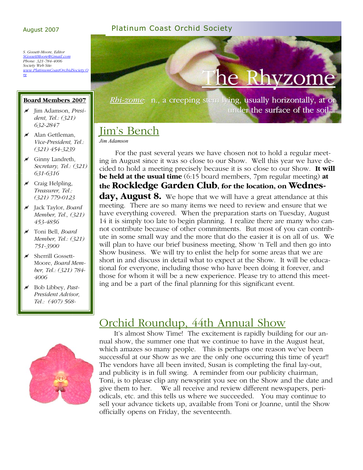#### August 2007 Platinum Coast Orchid Society

*S. Gossett-Moore, Editor SGossettMoore@Gmail.com Phone: 321-784-4006 Society Web Site: www.PlatinumCoastOrchidSociety.O rg*

#### **Board Members 2007**

- ! Jim Adamson, *President, Tel.: (321) 632-2847*
- $\overline{\mathscr{A}}$  Alan Gettleman, *Vice-President, Tel.: (321) 454-3239*
- $\overline{\mathscr{A}}$  Ginny Landreth, *Secretary, Tel.: (321) 631-6316*
- $\overline{\mathscr{N}}$  Craig Helpling, *Treasurer, Tel.: (321) 779-0123*
- ! Jack Taylor, *Board Member, Tel., (321) 453-4856*
- ! Toni Bell, *Board Member, Tel.: (321) 751-3900*
- $\overline{\mathscr{N}}$  Sherrill Gossett-Moore, *Board Member, Tel.: (321) 784- 4006*
- ! Bob Libbey, *Past-President Advisor, Tel.: (407) 568-*



under the surface of the soil...

## Jim's Bench

*Jim Adamson* 

 For the past several years we have chosen not to hold a regular meeting in August since it was so close to our Show. Well this year we have decided to hold a meeting precisely because it is so close to our Show. **It will be held at the usual time** (6:15 board members, 7pm regular meeting) **at the Rockledge Garden Club, for the location, on Wednesday, August 8.** We hope that we will have a great attendance at this meeting. There are so many items we need to review and ensure that we have everything covered. When the preparation starts on Tuesday, August 14 it is simply too late to begin planning. I realize there are many who cannot contribute because of other commitments. But most of you can contribute in some small way and the more that do the easier it is on all of us. We will plan to have our brief business meeting, Show 'n Tell and then go into Show business. We will try to enlist the help for some areas that we are short in and discuss in detail what to expect at the Show. It will be educational for everyone, including those who have been doing it forever, and those for whom it will be a new experience. Please try to attend this meeting and be a part of the final planning for this significant event.



## Orchid Roundup, 44th Annual Show

 It's almost Show Time! The excitement is rapidly building for our annual show, the summer one that we continue to have in the August heat, which amazes so many people. This is perhaps one reason we've been successful at our Show as we are the only one occurring this time of year!! The vendors have all been invited, Susan is completing the final lay-out, and publicity is in full swing. A reminder from our publicity chairman, Toni, is to please clip any newsprint you see on the Show and the date and give them to her. We all receive and review different newspapers, periodicals, etc. and this tells us where we succeeded. You may continue to sell your advance tickets up, available from Toni or Joanne, until the Show officially opens on Friday, the seventeenth.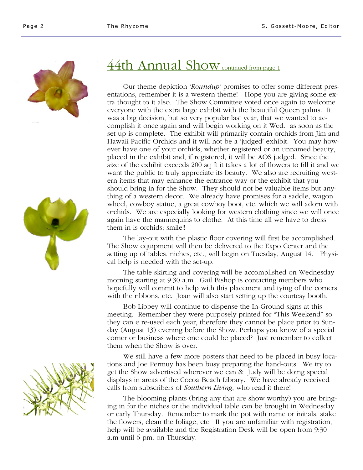





## 44th Annual Show continued from page 1

 Our theme depiction '*Roundup'* promises to offer some different presentations, remember it is a western theme! Hope you are giving some extra thought to it also. The Show Committee voted once again to welcome everyone with the extra large exhibit with the beautiful Queen palms. It was a big decision, but so very popular last year, that we wanted to accomplish it once again and will begin working on it Wed. as soon as the set up is complete. The exhibit will primarily contain orchids from Jim and Hawaii Pacific Orchids and it will not be a 'judged' exhibit. You may however have one of your orchids, whether registered or an unnamed beauty, placed in the exhibit and, if registered, it will be AOS judged. Since the size of the exhibit exceeds 200 sq ft it takes a lot of flowers to fill it and we want the public to truly appreciate its beauty. We also are recruiting western items that may enhance the entrance way or the exhibit that you should bring in for the Show. They should not be valuable items but anything of a western decor. We already have promises for a saddle, wagon wheel, cowboy statue, a great cowboy boot, etc. which we will adorn with orchids. We are especially looking for western clothing since we will once again have the mannequins to clothe. At this time all we have to dress them in is orchids; smile!!

 The lay-out with the plastic floor covering will first be accomplished. The Show equipment will then be delivered to the Expo Center and the setting up of tables, niches, etc., will begin on Tuesday, August 14. Physical help is needed with the set-up.

 The table skirting and covering will be accomplished on Wednesday morning starting at 9:30 a.m. Gail Bishop is contacting members who hopefully will commit to help with this placement and tying of the corners with the ribbons, etc. Joan will also start setting up the courtesy booth.

 Bob Libbey will continue to dispense the In-Ground signs at this meeting. Remember they were purposely printed for "This Weekend" so they can e re-used each year, therefore they cannot be place prior to Sunday (August 13) evening before the Show. Perhaps you know of a special corner or business where one could be placed? Just remember to collect them when the Show is over.

 We still have a few more posters that need to be placed in busy locations and Joe Permuy has been busy preparing the hand-outs. We try to get the Show advertised wherever we can & Judy will be doing special displays in areas of the Cocoa Beach Library. We have already received calls from subscribers of *Southern Living*, who read it there!

 The blooming plants (bring any that are show worthy) you are bringing in for the niches or the individual table can be brought in Wednesday or early Thursday. Remember to mark the pot with name or initials, stake the flowers, clean the foliage, etc. If you are unfamiliar with registration, help will be available and the Registration Desk will be open from 9:30 a.m until 6 pm. on Thursday.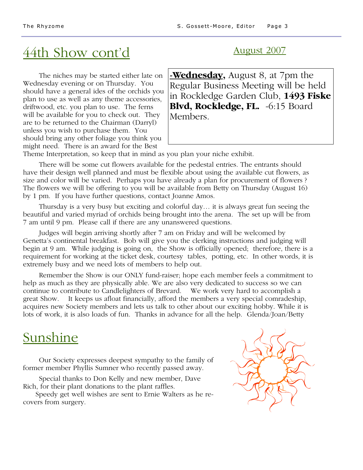# $44th$  Show cont'd  $\frac{1}{2}$  August 2007

 The niches may be started either late on Wednesday evening or on Thursday. You should have a general ides of the orchids you plan to use as well as any theme accessories, driftwood, etc. you plan to use. The ferns will be available for you to check out. They are to be returned to the Chairman (Darryl) unless you wish to purchase them. You should bring any other foliage you think you might need. There is an award for the Best

**-Wednesday,** August 8, at 7pm the Regular Business Meeting will be held in Rockledge Garden Club, **1493 Fiske**  Blvd, Rockledge, FL. -6:15 Board Members.

Theme Interpretation, so keep that in mind as you plan your niche exhibit.

 There will be some cut flowers available for the pedestal entries. The entrants should have their design well planned and must be flexible about using the available cut flowers, as size and color will be varied. Perhaps you have already a plan for procurement of flowers ? The flowers we will be offering to you will be available from Betty on Thursday (August 16) by 1 pm. If you have further questions, contact Joanne Amos.

 Thursday is a very busy but exciting and colorful day… it is always great fun seeing the beautiful and varied myriad of orchids being brought into the arena. The set up will be from 7 am until 9 pm. Please call if there are any unanswered questions.

 Judges will begin arriving shortly after 7 am on Friday and will be welcomed by Genetta's continental breakfast. Bob will give you the clerking instructions and judging will begin at 9 am. While judging is going on, the Show is officially opened; therefore, there is a requirement for working at the ticket desk, courtesy tables, potting, etc. In other words, it is extremely busy and we need lots of members to help out.

 Remember the Show is our ONLY fund-raiser; hope each member feels a commitment to help as much as they are physically able. We are also very dedicated to success so we can continue to contribute to Candlelighters of Brevard. We work very hard to accomplish a great Show. It keeps us afloat financially, afford the members a very special comradeship, acquires new Society members and lets us talk to other about our exciting hobby. While it is lots of work, it is also loads of fun. Thanks in advance for all the help. Glenda/Joan/Betty

# Sunshine

 Our Society expresses deepest sympathy to the family of former member Phyllis Sumner who recently passed away.

 Special thanks to Don Kelly and new member, Dave Rich, for their plant donations to the plant raffles.

 Speedy get well wishes are sent to Ernie Walters as he recovers from surgery.